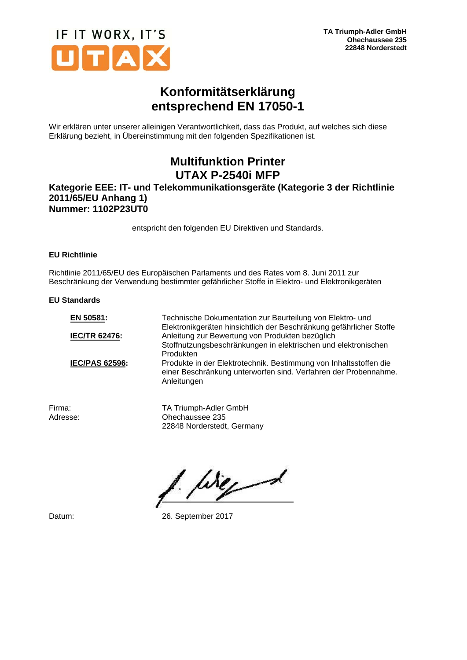

# **Konformitätserklärung entsprechend EN 17050-1**

Wir erklären unter unserer alleinigen Verantwortlichkeit, dass das Produkt, auf welches sich diese Erklärung bezieht, in Übereinstimmung mit den folgenden Spezifikationen ist.

# **Multifunktion Printer UTAX P-2540i MFP**

### **Kategorie EEE: IT- und Telekommunikationsgeräte (Kategorie 3 der Richtlinie 2011/65/EU Anhang 1) Nummer: 1102P23UT0**

entspricht den folgenden EU Direktiven und Standards.

### **EU Richtlinie**

Richtlinie 2011/65/EU des Europäischen Parlaments und des Rates vom 8. Juni 2011 zur Beschränkung der Verwendung bestimmter gefährlicher Stoffe in Elektro- und Elektronikgeräten

#### **EU Standards**

| EN 50581:             | Technische Dokumentation zur Beurteilung von Elektro- und<br>Elektronikgeräten hinsichtlich der Beschränkung gefährlicher Stoffe                    |
|-----------------------|-----------------------------------------------------------------------------------------------------------------------------------------------------|
| <b>IEC/TR 62476:</b>  | Anleitung zur Bewertung von Produkten bezüglich                                                                                                     |
|                       | Stoffnutzungsbeschränkungen in elektrischen und elektronischen                                                                                      |
|                       | Produkten                                                                                                                                           |
| <b>IEC/PAS 62596:</b> | Produkte in der Elektrotechnik. Bestimmung von Inhaltsstoffen die<br>einer Beschränkung unterworfen sind. Verfahren der Probennahme.<br>Anleitungen |
|                       |                                                                                                                                                     |

Firma: TA Triumph-Adler GmbH<br>Adresse: Chechaussee 235 Ohechaussee 235 22848 Norderstedt, Germany

Were

Datum: 26. September 2017